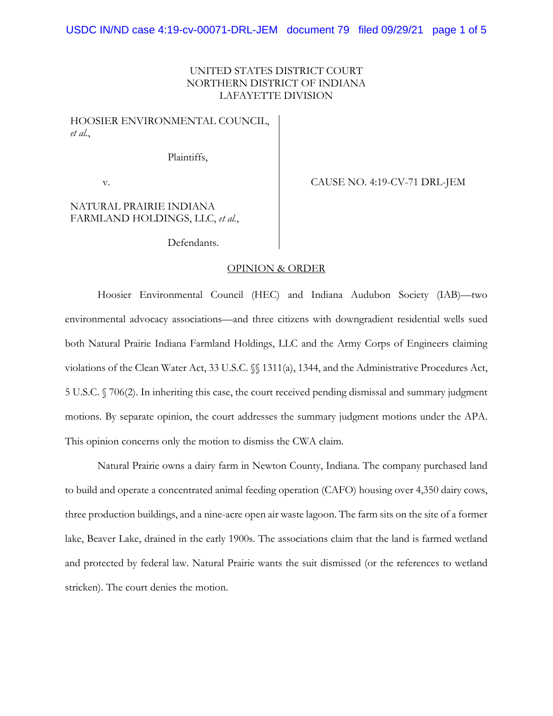### UNITED STATES DISTRICT COURT NORTHERN DISTRICT OF INDIANA LAFAYETTE DIVISION

HOOSIER ENVIRONMENTAL COUNCIL, *et al.*,

Plaintiffs,

v. CAUSE NO. 4:19-CV-71 DRL-JEM

# NATURAL PRAIRIE INDIANA FARMLAND HOLDINGS, LLC, *et al.*,

Defendants.

### OPINION & ORDER

 Hoosier Environmental Council (HEC) and Indiana Audubon Society (IAB)—two environmental advocacy associations—and three citizens with downgradient residential wells sued both Natural Prairie Indiana Farmland Holdings, LLC and the Army Corps of Engineers claiming violations of the Clean Water Act, 33 U.S.C. §§ 1311(a), 1344, and the Administrative Procedures Act, 5 U.S.C. § 706(2). In inheriting this case, the court received pending dismissal and summary judgment motions. By separate opinion, the court addresses the summary judgment motions under the APA. This opinion concerns only the motion to dismiss the CWA claim.

 Natural Prairie owns a dairy farm in Newton County, Indiana. The company purchased land to build and operate a concentrated animal feeding operation (CAFO) housing over 4,350 dairy cows, three production buildings, and a nine-acre open air waste lagoon. The farm sits on the site of a former lake, Beaver Lake, drained in the early 1900s. The associations claim that the land is farmed wetland and protected by federal law. Natural Prairie wants the suit dismissed (or the references to wetland stricken). The court denies the motion.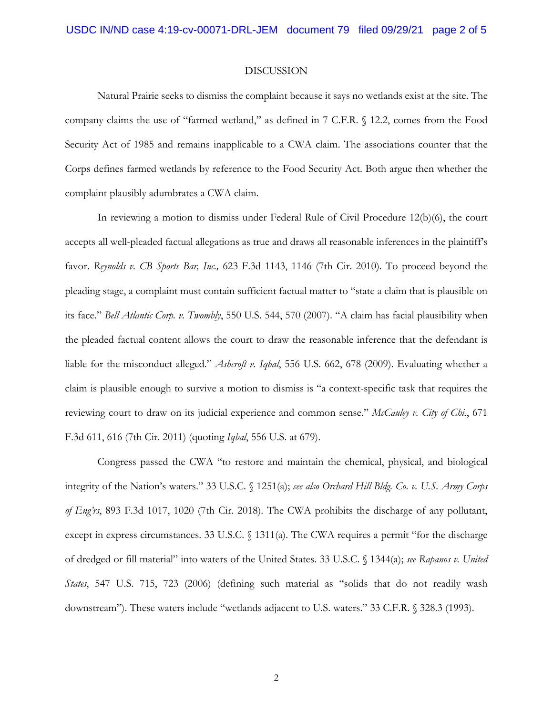#### DISCUSSION

Natural Prairie seeks to dismiss the complaint because it says no wetlands exist at the site. The company claims the use of "farmed wetland," as defined in 7 C.F.R. § 12.2, comes from the Food Security Act of 1985 and remains inapplicable to a CWA claim. The associations counter that the Corps defines farmed wetlands by reference to the Food Security Act. Both argue then whether the complaint plausibly adumbrates a CWA claim.

In reviewing a motion to dismiss under Federal Rule of Civil Procedure 12(b)(6), the court accepts all well-pleaded factual allegations as true and draws all reasonable inferences in the plaintiff's favor. *Reynolds v. CB Sports Bar, Inc.,* 623 F.3d 1143, 1146 (7th Cir. 2010). To proceed beyond the pleading stage, a complaint must contain sufficient factual matter to "state a claim that is plausible on its face." *Bell Atlantic Corp. v. Twombly*, 550 U.S. 544, 570 (2007). "A claim has facial plausibility when the pleaded factual content allows the court to draw the reasonable inference that the defendant is liable for the misconduct alleged." *Ashcroft v. Iqbal*, 556 U.S. 662, 678 (2009). Evaluating whether a claim is plausible enough to survive a motion to dismiss is "a context-specific task that requires the reviewing court to draw on its judicial experience and common sense." *McCauley v. City of Chi.*, 671 F.3d 611, 616 (7th Cir. 2011) (quoting *Iqbal*, 556 U.S. at 679).

Congress passed the CWA "to restore and maintain the chemical, physical, and biological integrity of the Nation's waters." 33 U.S.C. § 1251(a); *see also Orchard Hill Bldg. Co. v. U.S. Army Corps of Eng'rs*, 893 F.3d 1017, 1020 (7th Cir. 2018). The CWA prohibits the discharge of any pollutant, except in express circumstances. 33 U.S.C. § 1311(a). The CWA requires a permit "for the discharge of dredged or fill material" into waters of the United States. 33 U.S.C. § 1344(a); *see Rapanos v. United States*, 547 U.S. 715, 723 (2006) (defining such material as "solids that do not readily wash downstream"). These waters include "wetlands adjacent to U.S. waters." 33 C.F.R. § 328.3 (1993).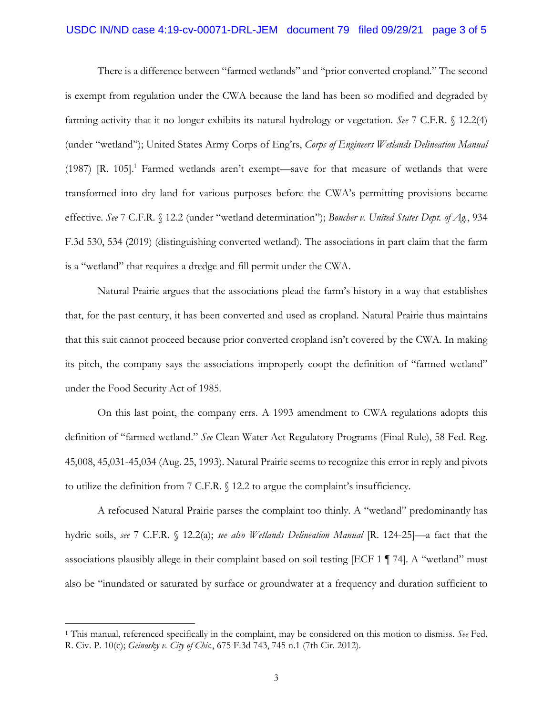## USDC IN/ND case 4:19-cv-00071-DRL-JEM document 79 filed 09/29/21 page 3 of 5

There is a difference between "farmed wetlands" and "prior converted cropland." The second is exempt from regulation under the CWA because the land has been so modified and degraded by farming activity that it no longer exhibits its natural hydrology or vegetation. *See* 7 C.F.R. § 12.2(4) (under "wetland"); United States Army Corps of Eng'rs, *Corps of Engineers Wetlands Delineation Manual* (1987) [R. 105].<sup>1</sup> Farmed wetlands aren't exempt—save for that measure of wetlands that were transformed into dry land for various purposes before the CWA's permitting provisions became effective. *See* 7 C.F.R. § 12.2 (under "wetland determination"); *Boucher v. United States Dept. of Ag.*, 934 F.3d 530, 534 (2019) (distinguishing converted wetland). The associations in part claim that the farm is a "wetland" that requires a dredge and fill permit under the CWA.

Natural Prairie argues that the associations plead the farm's history in a way that establishes that, for the past century, it has been converted and used as cropland. Natural Prairie thus maintains that this suit cannot proceed because prior converted cropland isn't covered by the CWA. In making its pitch, the company says the associations improperly coopt the definition of "farmed wetland" under the Food Security Act of 1985.

On this last point, the company errs. A 1993 amendment to CWA regulations adopts this definition of "farmed wetland." *See* Clean Water Act Regulatory Programs (Final Rule), 58 Fed. Reg. 45,008, 45,031-45,034 (Aug. 25, 1993). Natural Prairie seems to recognize this error in reply and pivots to utilize the definition from 7 C.F.R. § 12.2 to argue the complaint's insufficiency.

A refocused Natural Prairie parses the complaint too thinly. A "wetland" predominantly has hydric soils, *see* 7 C.F.R. § 12.2(a); *see also Wetlands Delineation Manual* [R. 124-25]—a fact that the associations plausibly allege in their complaint based on soil testing [ECF 1 ¶ 74]. A "wetland" must also be "inundated or saturated by surface or groundwater at a frequency and duration sufficient to

<sup>1</sup> This manual, referenced specifically in the complaint, may be considered on this motion to dismiss. *See* Fed. R. Civ. P. 10(c); *Geinosky v. City of Chic.*, 675 F.3d 743, 745 n.1 (7th Cir. 2012).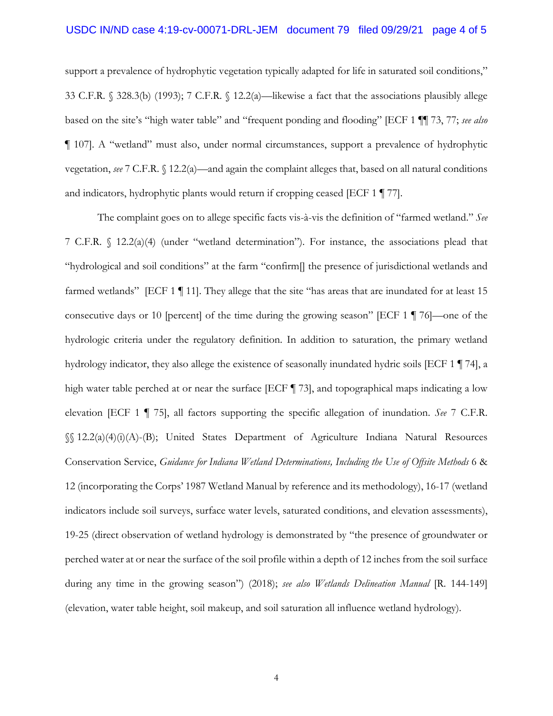support a prevalence of hydrophytic vegetation typically adapted for life in saturated soil conditions," 33 C.F.R. § 328.3(b) (1993); 7 C.F.R. § 12.2(a)—likewise a fact that the associations plausibly allege based on the site's "high water table" and "frequent ponding and flooding" [ECF 1 ¶¶ 73, 77; *see also* ¶ 107]. A "wetland" must also, under normal circumstances, support a prevalence of hydrophytic vegetation, *see* 7 C.F.R. § 12.2(a)—and again the complaint alleges that, based on all natural conditions and indicators, hydrophytic plants would return if cropping ceased [ECF 1 ¶ 77].

The complaint goes on to allege specific facts vis-à-vis the definition of "farmed wetland." *See* 7 C.F.R. § 12.2(a)(4) (under "wetland determination"). For instance, the associations plead that "hydrological and soil conditions" at the farm "confirm[] the presence of jurisdictional wetlands and farmed wetlands" [ECF 1 ¶ 11]. They allege that the site "has areas that are inundated for at least 15 consecutive days or 10 [percent] of the time during the growing season" [ECF 1 ¶ 76]—one of the hydrologic criteria under the regulatory definition. In addition to saturation, the primary wetland hydrology indicator, they also allege the existence of seasonally inundated hydric soils [ECF 1 ¶ 74], a high water table perched at or near the surface [ECF ¶ 73], and topographical maps indicating a low elevation [ECF 1 ¶ 75], all factors supporting the specific allegation of inundation. *See* 7 C.F.R. §§ 12.2(a)(4)(i)(A)-(B); United States Department of Agriculture Indiana Natural Resources Conservation Service, *Guidance for Indiana Wetland Determinations, Including the Use of Offsite Methods* 6 & 12 (incorporating the Corps' 1987 Wetland Manual by reference and its methodology), 16-17 (wetland indicators include soil surveys, surface water levels, saturated conditions, and elevation assessments), 19-25 (direct observation of wetland hydrology is demonstrated by "the presence of groundwater or perched water at or near the surface of the soil profile within a depth of 12 inches from the soil surface during any time in the growing season") (2018); *see also Wetlands Delineation Manual* [R. 144-149] (elevation, water table height, soil makeup, and soil saturation all influence wetland hydrology).